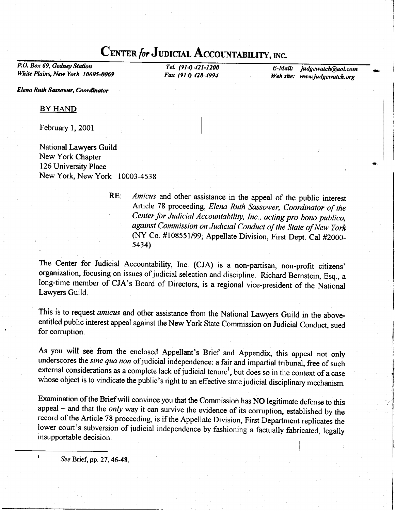## CENTER for JUDICIAL ACCOUNTABILITY, INC.

P.O. Box 69, Gedney Station White Plains, New York 10605-0069

TeL (914) 421-1200 Fax (914) 428-4994

E-Mail: judgewatch@aol.com Web site: www.judgewatch.org

I

Elena Ruth Sassower, Coordinator

BY HAND

February 1, 2001

National Lawyers Guild New York Chapter 126 University Place New York, New York 10003-4538

> RE: Amicus and other assistance in the appeal of the public interest Article 78 proceeding, Elena Ruth Sassower, Coordinator of the center for Judicial Accountability, Inc., acting pro bono publico, against Commission on Judicial Conduct of the State of New York (NY co. #108551/99; Appellate Division, First Dept. cal #2000- 5434')

The Center for Judicial Accountability, Inc. (CJA) is a non-partisan, non-profit citizens' organization, focusing on issues of judicial selection and discipline. Richard Bernstein, Esq., a long-time member of CJA's Board of Directors, is a regional vice-president of the National Lawyers Guild.

This is to request amicus and other assistance from the National Lawyers Guild in the aboveentitled public interest appeal against the New York State Commission on Judicial Conduct, sued for corruption.

As you will see ftom the enclosed Appellant's Brief and Appendix, this appeal not only underscores the sine qua non of judicial independence: a fair and impartial tribunal, free of such external considerations as a complete lack of judicial tenure<sup>1</sup>, but does so in the context of a case whose object is to vindicate the public's right to an effective state judicial disciplinary mechanism.

Examindion of the Brief will convince you that the Commission has NO legitimate defense to this appeal – and that the *only* way it can survive the evidence of its corruption, established by the record of the Article 78 proceeding, is if the Appellate Division, First Department replicates the lower court's subversion of judicial independence by fashioning a factually fabricated, legally insupportable decision

 $I^1$  See Brief, pp. 27, 46-48.